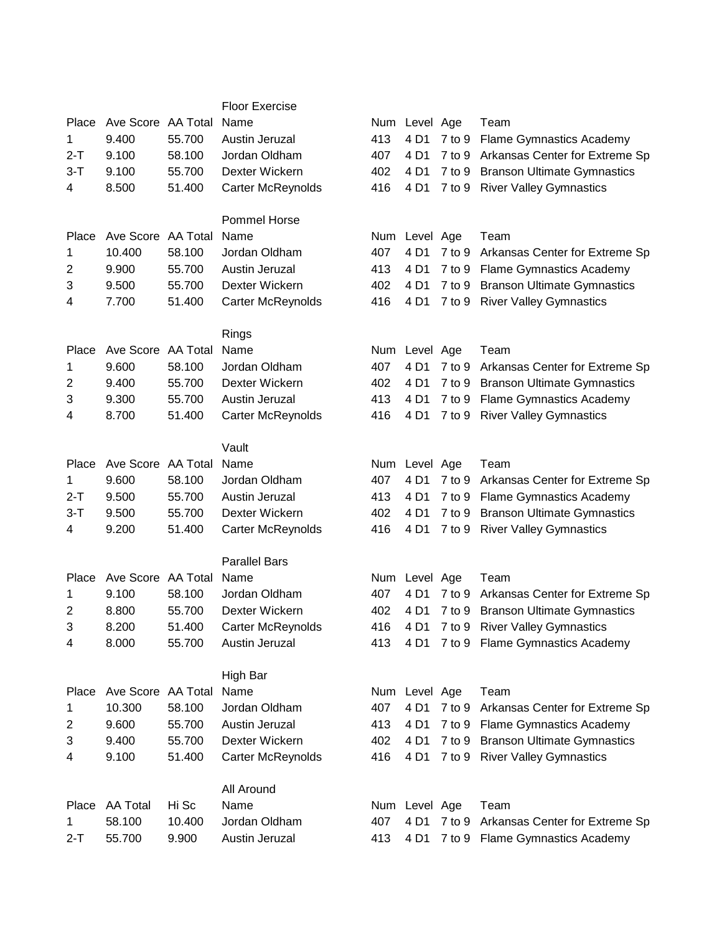|         |                    |        | <b>Floor Exercise</b>    |     |               |            |                                          |
|---------|--------------------|--------|--------------------------|-----|---------------|------------|------------------------------------------|
| Place   | Ave Score AA Total |        | Name                     |     | Num Level Age |            | Team                                     |
| 1.      | 9.400              | 55.700 | Austin Jeruzal           | 413 | 4 D1          | 7 to 9     | <b>Flame Gymnastics Academy</b>          |
| $2-T$   | 9.100              | 58.100 | Jordan Oldham            | 407 | 4 D1          |            | 7 to 9 Arkansas Center for Extreme Sp    |
| $3 - T$ | 9.100              | 55.700 | Dexter Wickern           | 402 | 4 D1          |            | 7 to 9 Branson Ultimate Gymnastics       |
| 4       | 8.500              | 51.400 | Carter McReynolds        | 416 | 4 D1          |            | 7 to 9 River Valley Gymnastics           |
|         |                    |        |                          |     |               |            |                                          |
|         |                    |        | Pommel Horse             |     |               |            |                                          |
|         | Ave Score AA Total |        |                          |     |               |            |                                          |
| Place   |                    |        | Name                     |     | Num Level Age |            | Team                                     |
| 1       | 10.400             | 58.100 | Jordan Oldham            | 407 | 4 D1          | $7$ to $9$ | Arkansas Center for Extreme Sp           |
| 2       | 9.900              | 55.700 | Austin Jeruzal           | 413 | 4 D1          |            | 7 to 9 Flame Gymnastics Academy          |
| 3       | 9.500              | 55.700 | Dexter Wickern           | 402 | 4 D1          | 7 to 9     | <b>Branson Ultimate Gymnastics</b>       |
| 4       | 7.700              | 51.400 | Carter McReynolds        | 416 | 4 D1          |            | 7 to 9 River Valley Gymnastics           |
|         |                    |        |                          |     |               |            |                                          |
|         |                    |        | Rings                    |     |               |            |                                          |
| Place   | Ave Score AA Total |        | Name                     |     | Num Level Age |            | Team                                     |
| 1       | 9.600              | 58.100 | Jordan Oldham            | 407 | 4 D1          | 7 to 9     | Arkansas Center for Extreme Sp           |
| 2       | 9.400              | 55.700 | Dexter Wickern           | 402 | 4 D1          |            | 7 to 9 Branson Ultimate Gymnastics       |
| 3       | 9.300              | 55.700 | Austin Jeruzal           | 413 | 4 D1          |            | 7 to 9 Flame Gymnastics Academy          |
| 4       | 8.700              | 51.400 | Carter McReynolds        | 416 | 4 D1          | $7$ to $9$ | <b>River Valley Gymnastics</b>           |
|         |                    |        |                          |     |               |            |                                          |
|         |                    |        | Vault                    |     |               |            |                                          |
| Place   | Ave Score AA Total |        | Name                     |     | Num Level Age |            | Team                                     |
| 1       | 9.600              | 58.100 | Jordan Oldham            | 407 | 4 D1          |            | 7 to 9 Arkansas Center for Extreme Sp    |
| $2 - T$ | 9.500              | 55.700 | Austin Jeruzal           | 413 | 4 D1          |            | 7 to 9 Flame Gymnastics Academy          |
| $3 - T$ | 9.500              | 55.700 | Dexter Wickern           | 402 | 4 D1          | 7 to 9     | <b>Branson Ultimate Gymnastics</b>       |
| 4       | 9.200              | 51.400 | Carter McReynolds        | 416 | 4 D1          |            | 7 to 9 River Valley Gymnastics           |
|         |                    |        |                          |     |               |            |                                          |
|         |                    |        | <b>Parallel Bars</b>     |     |               |            |                                          |
|         |                    |        |                          |     |               |            |                                          |
| Place   | Ave Score AA Total |        | Name                     |     | Num Level Age |            | Team                                     |
| 1       | 9.100              | 58.100 | Jordan Oldham            | 407 | 4 D1          |            | 7 to 9 Arkansas Center for Extreme Sp    |
| 2       | 8.800              | 55.700 | Dexter Wickern           | 402 | 4 D1          |            | 7 to 9 Branson Ultimate Gymnastics       |
| 3       | 8.200              | 51.400 | <b>Carter McReynolds</b> | 416 |               |            | 4 D1 7 to 9 River Valley Gymnastics      |
| 4       | 8.000              | 55.700 | Austin Jeruzal           |     |               |            | 413 4 D1 7 to 9 Flame Gymnastics Academy |
|         |                    |        |                          |     |               |            |                                          |
|         |                    |        | High Bar                 |     |               |            |                                          |
| Place   | Ave Score AA Total |        | Name                     |     | Num Level Age |            | Team                                     |
| 1       | 10.300             | 58.100 | Jordan Oldham            | 407 | 4 D1          |            | 7 to 9 Arkansas Center for Extreme Sp    |
| 2       | 9.600              | 55.700 | Austin Jeruzal           | 413 | 4 D1          |            | 7 to 9 Flame Gymnastics Academy          |
| 3       | 9.400              | 55.700 | Dexter Wickern           | 402 | 4 D1          |            | 7 to 9 Branson Ultimate Gymnastics       |
| 4       | 9.100              | 51.400 | <b>Carter McReynolds</b> | 416 | 4 D1          |            | 7 to 9 River Valley Gymnastics           |
|         |                    |        |                          |     |               |            |                                          |
|         |                    |        | All Around               |     |               |            |                                          |
| Place   | AA Total           | Hi Sc  | Name                     |     | Num Level Age |            | Team                                     |
| 1.      | 58.100             | 10.400 | Jordan Oldham            | 407 | 4 D1          |            | 7 to 9 Arkansas Center for Extreme Sp    |
| $2-T$   | 55.700             | 9.900  | Austin Jeruzal           | 413 | 4 D1          |            | 7 to 9 Flame Gymnastics Academy          |
|         |                    |        |                          |     |               |            |                                          |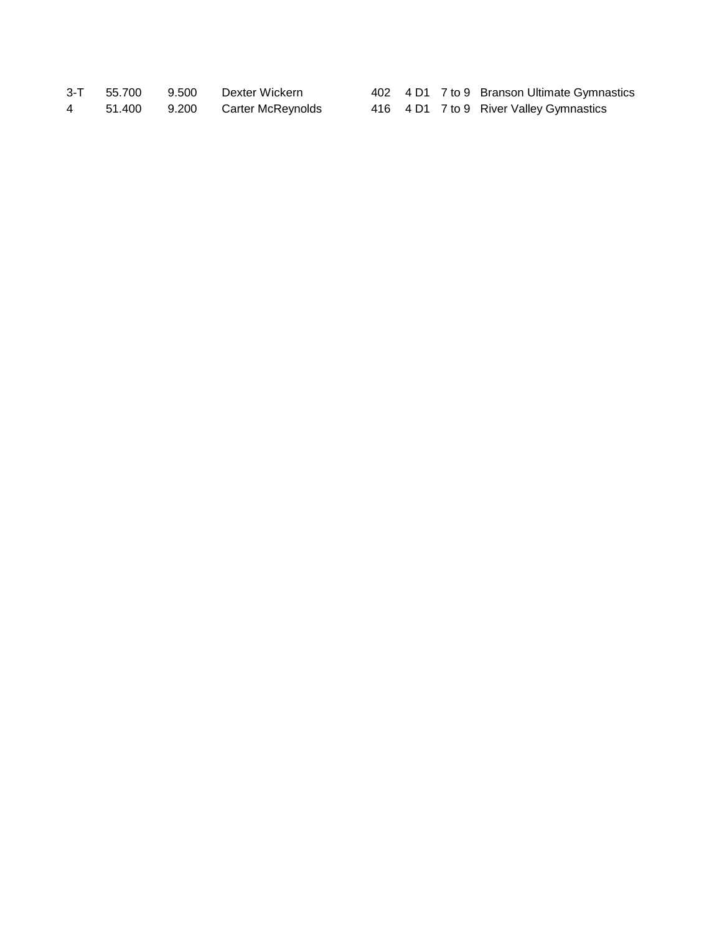|   | 3-T 55.700 | 9.500 Dexter Wickern    |  | 402 4 D1 7 to 9 Branson Ultimate Gymnastics |
|---|------------|-------------------------|--|---------------------------------------------|
| 4 | 51.400     | 9.200 Carter McReynolds |  | 416 4 D1 7 to 9 River Valley Gymnastics     |

|  | 402 4 D1 7 to 9 Branson Ultimate Gymnastics |
|--|---------------------------------------------|
|  | 416 4 D1 7 to 9 River Valley Gymnastics     |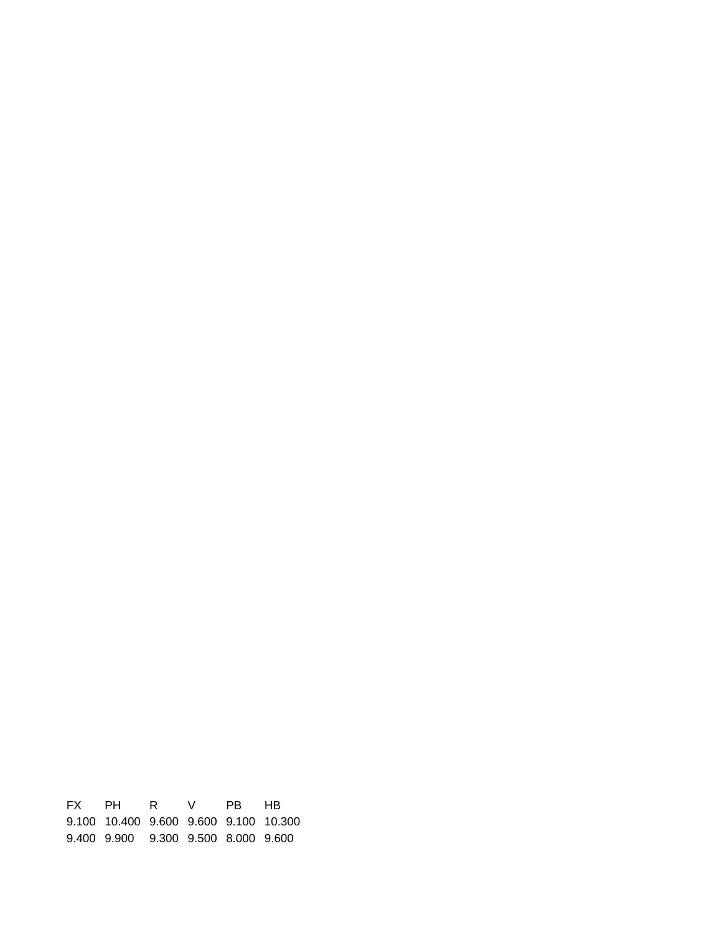FX PH R V PB HB 9.100 10.400 9.600 9.600 9.100 10.300 9.400 9.900 9.300 9.500 8.000 9.600